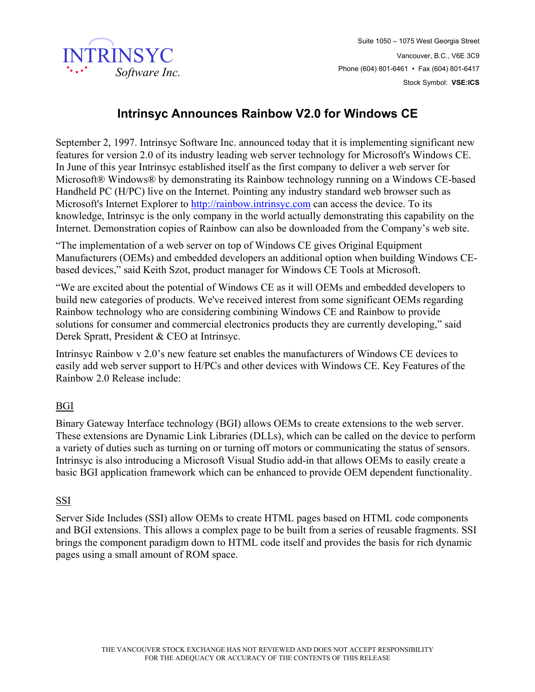

## **Intrinsyc Announces Rainbow V2.0 for Windows CE**

September 2, 1997. Intrinsyc Software Inc. announced today that it is implementing significant new features for version 2.0 of its industry leading web server technology for Microsoft's Windows CE. In June of this year Intrinsyc established itself as the first company to deliver a web server for Microsoft® Windows® by demonstrating its Rainbow technology running on a Windows CE-based Handheld PC (H/PC) live on the Internet. Pointing any industry standard web browser such as Microsoft's Internet Explorer to http://rainbow.intrinsyc.com can access the device. To its knowledge, Intrinsyc is the only company in the world actually demonstrating this capability on the Internet. Demonstration copies of Rainbow can also be downloaded from the Company's web site.

"The implementation of a web server on top of Windows CE gives Original Equipment Manufacturers (OEMs) and embedded developers an additional option when building Windows CEbased devices," said Keith Szot, product manager for Windows CE Tools at Microsoft.

"We are excited about the potential of Windows CE as it will OEMs and embedded developers to build new categories of products. We've received interest from some significant OEMs regarding Rainbow technology who are considering combining Windows CE and Rainbow to provide solutions for consumer and commercial electronics products they are currently developing," said Derek Spratt, President & CEO at Intrinsyc.

Intrinsyc Rainbow v 2.0's new feature set enables the manufacturers of Windows CE devices to easily add web server support to H/PCs and other devices with Windows CE. Key Features of the Rainbow 2.0 Release include:

## BGI

Binary Gateway Interface technology (BGI) allows OEMs to create extensions to the web server. These extensions are Dynamic Link Libraries (DLLs), which can be called on the device to perform a variety of duties such as turning on or turning off motors or communicating the status of sensors. Intrinsyc is also introducing a Microsoft Visual Studio add-in that allows OEMs to easily create a basic BGI application framework which can be enhanced to provide OEM dependent functionality.

## SSI

Server Side Includes (SSI) allow OEMs to create HTML pages based on HTML code components and BGI extensions. This allows a complex page to be built from a series of reusable fragments. SSI brings the component paradigm down to HTML code itself and provides the basis for rich dynamic pages using a small amount of ROM space.